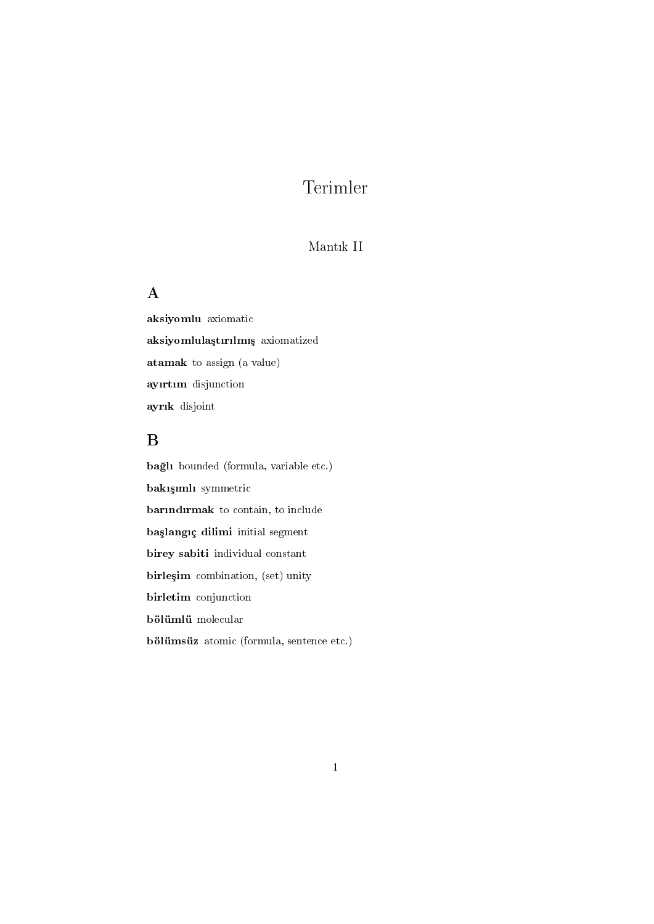# Terimler

#### Mantik II

#### A

aksiyomlu axiomatic aksiyomlulaştırılmış axiomatized atamak to assign (a value) ayırtım disjunction ayrık disjoint

### B

bağlı bounded (formula, variable etc.) bakışımlı symmetric barındırmak to contain, to include başlangıç dilimi initial segment birey sabiti individual constant birleşim combination, (set) unity birletim conjunction bölümlü molecular bölümsüz atomic (formula, sentence etc.)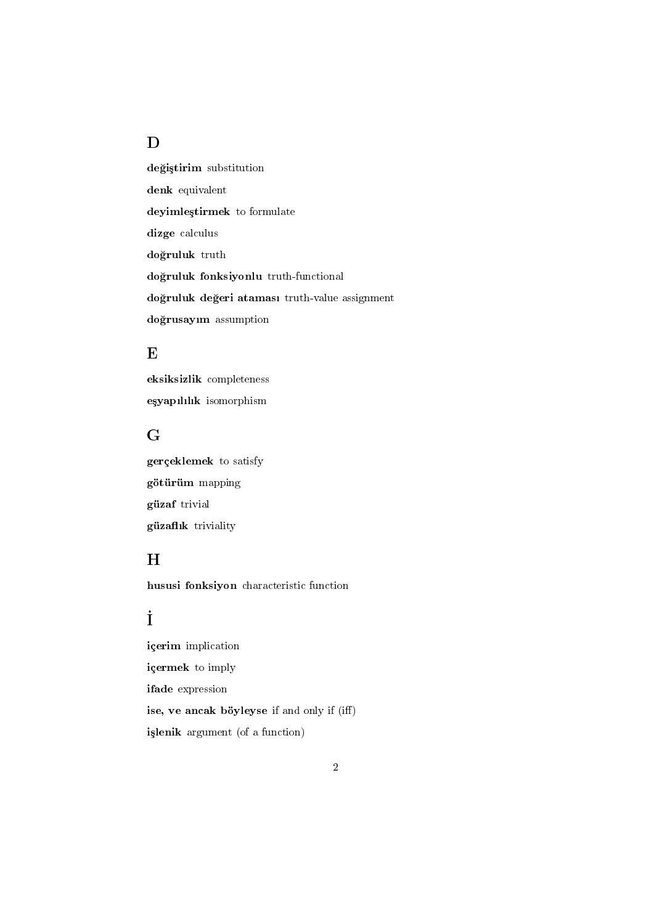### D

değiştirim substitution denk equivalent deyimleştirmek to formulate dizge calculus do§ruluk truth do§ruluk fonksiyonlu truth-functional doğruluk değeri ataması truth-value assignment do§rusaym assumption

#### E

eksiksizlik completeness eşyapılılık isomorphism

#### G

gerçeklemek to satisfy götürüm mapping güzaf trivial güzaflık triviality

#### H

hususi fonksiyon characteristic function

## İ

içerim implication içermek to imply ifade expression ise, ve ancak böyleyse if and only if (iff) işlenik argument (of a function)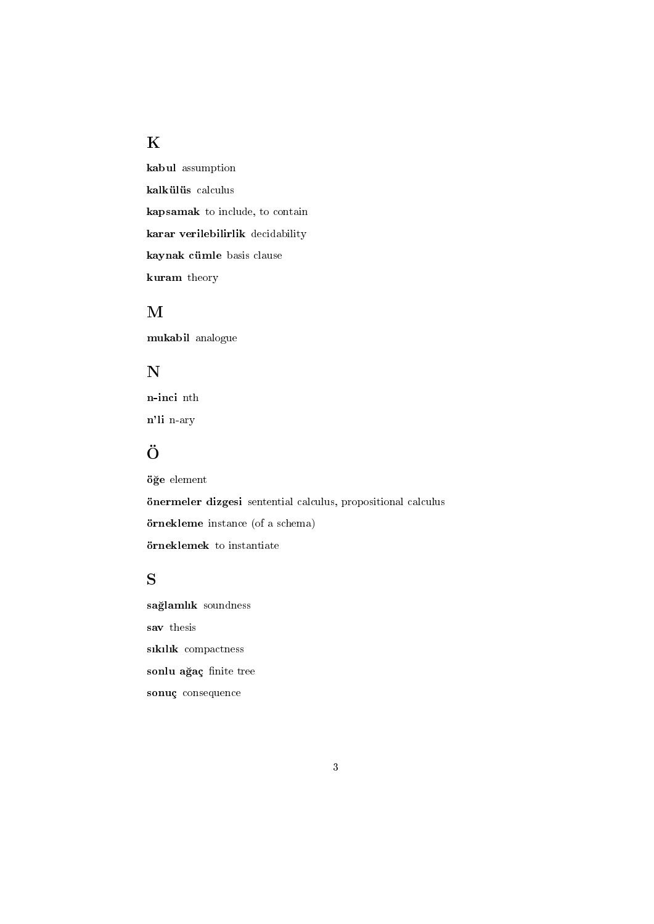#### K

kabul assumption kalkülüs calculus kapsamak to include, to contain karar verilebilirlik decidability kaynak cümle basis clause kuram theory

#### M

mukabil analogue

#### N

n-inci nth n'li n-ary

# Ö

ö§e element önermeler dizgesi sentential calculus, propositional calculus örnekleme instance (of a schema) örneklemek to instantiate

#### S

sağlamlık soundness sav thesis sıkılık compactness sonlu ağaç finite tree sonuç consequence